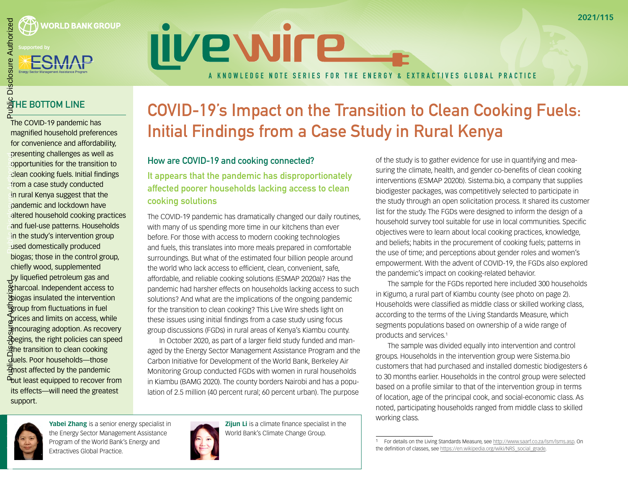

# **IIVe WIFE** A KNOWLEDGE NOTE SERIES FOR THE ENERGY & EXTRACTIVES GLOBAL PRACTICE

## <u>을</u> HE BOTTOM LINE

The COVID-19 pandemic has magnified household preferences for convenience and affordability, presenting challenges as well as opportunities for the transition to clean cooking fuels. Initial findings from a case study conducted in rural Kenya suggest that the pandemic and lockdown have altered household cooking practices and fuel-use patterns. Households in the study's intervention group used domestically produced biogas; those in the control group, chiefly wood, supplemented by liquefied petroleum gas and **Charcoal. Independent access to** biogas insulated the intervention  $\frac{1}{2}$  roup from fluctuations in fuel prices and limits on access, while **Encouraging adoption. As recovery** begins, the right policies can speed the transition to clean cooking fuels. Poor households—those  $\overline{\mathcal{A}}$  nost affected by the pandemic **P**but least equipped to recover from its effects—will need the greatest support. Public Disclosure<br>Public Disclosure<br>Authorized <u>န် ကျွေးကြေးချီးကြေးချုံရ</u>ာ

### COVID-19's Impact on the Transition to Clean Cooking Fuels: Initial Findings from a Case Study in Rural Kenya

#### How are COVID-19 and cooking connected?

It appears that the pandemic has disproportionately affected poorer households lacking access to clean cooking solutions

The COVID-19 pandemic has dramatically changed our daily routines, with many of us spending more time in our kitchens than ever before. For those with access to modern cooking technologies and fuels, this translates into more meals prepared in comfortable surroundings. But what of the estimated four billion people around the world who lack access to efficient, clean, convenient, safe, affordable, and reliable cooking solutions (ESMAP 2020a)? Has the pandemic had harsher effects on households lacking access to such solutions? And what are the implications of the ongoing pandemic for the transition to clean cooking? This Live Wire sheds light on these issues using initial findings from a case study using focus group discussions (FGDs) in rural areas of Kenya's Kiambu county.

In October 2020, as part of a larger field study funded and managed by the Energy Sector Management Assistance Program and the Carbon Initiative for Development of the World Bank, Berkeley Air Monitoring Group conducted FGDs with women in rural households in Kiambu (BAMG 2020). The county borders Nairobi and has a population of 2.5 million (40 percent rural; 60 percent urban). The purpose

Public Disclosure Authorized

**Yabei Zhang** is a senior energy specialist in the Energy Sector Management Assistance Program of the World Bank's Energy and Extractives Global Practice.



**Zijun Li** is a climate finance specialist in the World Bank's Climate Change Group.

of the study is to gather evidence for use in quantifying and measuring the climate, health, and gender co-benefits of clean cooking interventions (ESMAP 2020b). Sistema.bio, a company that supplies biodigester packages, was competitively selected to participate in the study through an open solicitation process. It shared its customer list for the study. The FGDs were designed to inform the design of a household survey tool suitable for use in local communities. Specific objectives were to learn about local cooking practices, knowledge, and beliefs; habits in the procurement of cooking fuels; patterns in the use of time; and perceptions about gender roles and women's empowerment. With the advent of COVID-19, the FGDs also explored the pandemic's impact on cooking-related behavior.

The sample for the FGDs reported here included 300 households in Kigumo, a rural part of Kiambu county (see photo on page 2). Households were classified as middle class or skilled working class, according to the terms of the Living Standards Measure, which segments populations based on ownership of a wide range of products and services.1

The sample was divided equally into intervention and control groups. Households in the intervention group were Sistema.bio customers that had purchased and installed domestic biodigesters 6 to 30 months earlier. Households in the control group were selected based on a profile similar to that of the intervention group in terms of location, age of the principal cook, and social-economic class. As noted, participating households ranged from middle class to skilled working class.

<sup>1</sup> For details on the Living Standards Measure, see<http://www.saarf.co.za/lsm/lsms.asp>. On the definition of classes, see [https://en.wikipedia.org/wiki/NRS\\_social\\_grade.](https://en.wikipedia.org/wiki/NRS_social_grade)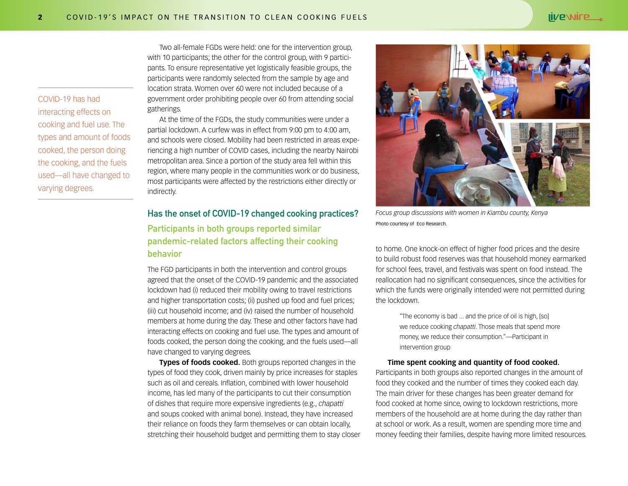COVID-19 has had interacting effects on cooking and fuel use. The types and amount of foods cooked, the person doing the cooking, and the fuels used—all have changed to varying degrees.

Two all-female FGDs were held: one for the intervention group, with 10 participants; the other for the control group, with 9 participants. To ensure representative yet logistically feasible groups, the participants were randomly selected from the sample by age and location strata. Women over 60 were not included because of a government order prohibiting people over 60 from attending social gatherings.

At the time of the FGDs, the study communities were under a partial lockdown. A curfew was in effect from 9:00 pm to 4:00 am, and schools were closed. Mobility had been restricted in areas experiencing a high number of COVID cases, including the nearby Nairobi metropolitan area. Since a portion of the study area fell within this region, where many people in the communities work or do business, most participants were affected by the restrictions either directly or indirectly.

#### Has the onset of COVID-19 changed cooking practices?

#### Participants in both groups reported similar pandemic-related factors affecting their cooking behavior

The FGD participants in both the intervention and control groups agreed that the onset of the COVID-19 pandemic and the associated lockdown had (i) reduced their mobility owing to travel restrictions and higher transportation costs; (ii) pushed up food and fuel prices; (iii) cut household income; and (iv) raised the number of household members at home during the day. These and other factors have had interacting effects on cooking and fuel use. The types and amount of foods cooked, the person doing the cooking, and the fuels used—all have changed to varying degrees.

**Types of foods cooked.** Both groups reported changes in the types of food they cook, driven mainly by price increases for staples such as oil and cereals. Inflation, combined with lower household income, has led many of the participants to cut their consumption of dishes that require more expensive ingredients (e.g., *chapatti* and soups cooked with animal bone). Instead, they have increased their reliance on foods they farm themselves or can obtain locally, stretching their household budget and permitting them to stay closer



Photo courtesy of Eco Research.

to home. One knock-on effect of higher food prices and the desire to build robust food reserves was that household money earmarked for school fees, travel, and festivals was spent on food instead. The reallocation had no significant consequences, since the activities for which the funds were originally intended were not permitted during the lockdown.

> "The economy is bad ... and the price of oil is high, [so] we reduce cooking *chapatti*. Those meals that spend more money, we reduce their consumption."—Participant in intervention group

#### **Time spent cooking and quantity of food cooked.**

Participants in both groups also reported changes in the amount of food they cooked and the number of times they cooked each day. The main driver for these changes has been greater demand for food cooked at home since, owing to lockdown restrictions, more members of the household are at home during the day rather than at school or work. As a result, women are spending more time and money feeding their families, despite having more limited resources.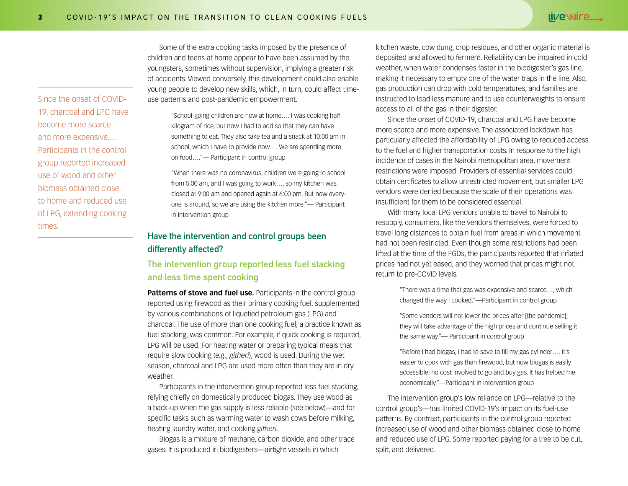children and teens at home appear to have been assumed by the youngsters, sometimes without supervision, implying a greater risk of accidents. Viewed conversely, this development could also enable young people to develop new skills, which, in turn, could affect timeuse patterns and post-pandemic empowerment.

> "School-going children are now at home…. I was cooking half kilogram of rice, but now I had to add so that they can have something to eat. They also take tea and a snack at 10:00 am in school, which I have to provide now…. We are spending more on food…."— Participant in control group

Some of the extra cooking tasks imposed by the presence of

"When there was no coronavirus, children were going to school from 5:00 am, and I was going to work…, so my kitchen was closed at 9:00 am and opened again at 6:00 pm. But now everyone is around, so we are using the kitchen more."— Participant in intervention group

#### Have the intervention and control groups been differently affected?

#### The intervention group reported less fuel stacking and less time spent cooking

**Patterns of stove and fuel use.** Participants in the control group reported using firewood as their primary cooking fuel, supplemented by various combinations of liquefied petroleum gas (LPG) and charcoal. The use of more than one cooking fuel, a practice known as fuel stacking, was common. For example, if quick cooking is required, LPG will be used. For heating water or preparing typical meals that require slow cooking (e.g., *githeri*), wood is used. During the wet season, charcoal and LPG are used more often than they are in dry weather.

Participants in the intervention group reported less fuel stacking, relying chiefly on domestically produced biogas. They use wood as a back-up when the gas supply is less reliable (see below)—and for specific tasks such as warming water to wash cows before milking, heating laundry water, and cooking *githeri*.

Biogas is a mixture of methane, carbon dioxide, and other trace gases. It is produced in biodigesters—airtight vessels in which

kitchen waste, cow dung, crop residues, and other organic material is deposited and allowed to ferment. Reliability can be impaired in cold weather, when water condenses faster in the biodigester's gas line, making it necessary to empty one of the water traps in the line. Also, gas production can drop with cold temperatures, and families are instructed to load less manure and to use counterweights to ensure access to all of the gas in their digester.

Since the onset of COVID-19, charcoal and LPG have become more scarce and more expensive. The associated lockdown has particularly affected the affordability of LPG owing to reduced access to the fuel and higher transportation costs. In response to the high incidence of cases in the Nairobi metropolitan area, movement restrictions were imposed. Providers of essential services could obtain certificates to allow unrestricted movement, but smaller LPG vendors were denied because the scale of their operations was insufficient for them to be considered essential.

With many local LPG vendors unable to travel to Nairobi to resupply, consumers, like the vendors themselves, were forced to travel long distances to obtain fuel from areas in which movement had not been restricted. Even though some restrictions had been lifted at the time of the FGDs, the participants reported that inflated prices had not yet eased, and they worried that prices might not return to pre-COVID levels.

> "There was a time that gas was expensive and scarce…, which changed the way I cooked."—Participant in control group

"Some vendors will not lower the prices after [the pandemic]; they will take advantage of the high prices and continue selling it the same way."— Participant in control group

"Before I had biogas, I had to save to fill my gas cylinder…. It's easier to cook with gas than firewood, but now biogas is easily accessible: no cost involved to go and buy gas. It has helped me economically."—Participant in intervention group

The intervention group's low reliance on LPG—relative to the control group's—has limited COVID-19's impact on its fuel-use patterns. By contrast, participants in the control group reported increased use of wood and other biomass obtained close to home and reduced use of LPG. Some reported paying for a tree to be cut, split, and delivered.

Since the onset of COVID-19, charcoal and LPG have become more scarce and more expensive.… Participants in the control group reported increased use of wood and other biomass obtained close to home and reduced use of LPG, extending cooking times.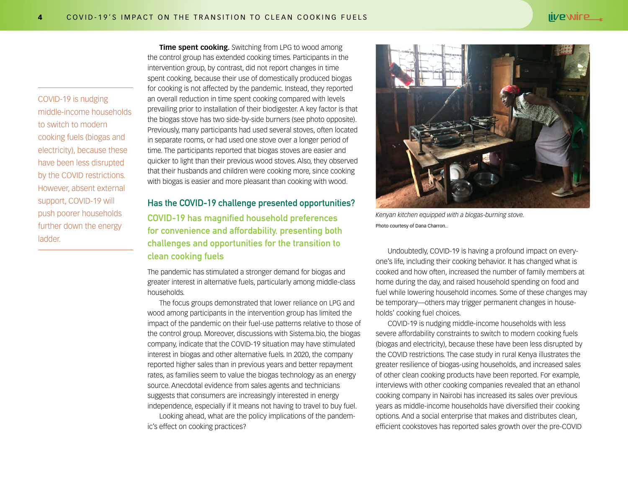COVID-19 is nudging middle-income households to switch to modern cooking fuels (biogas and electricity), because these have been less disrupted by the COVID restrictions. However, absent external support, COVID-19 will push poorer households further down the energy ladder.

**Time spent cooking.** Switching from LPG to wood among the control group has extended cooking times. Participants in the intervention group, by contrast, did not report changes in time spent cooking, because their use of domestically produced biogas for cooking is not affected by the pandemic. Instead, they reported an overall reduction in time spent cooking compared with levels prevailing prior to installation of their biodigester. A key factor is that the biogas stove has two side-by-side burners (see photo opposite). Previously, many participants had used several stoves, often located in separate rooms, or had used one stove over a longer period of time. The participants reported that biogas stoves are easier and quicker to light than their previous wood stoves. Also, they observed that their husbands and children were cooking more, since cooking with biogas is easier and more pleasant than cooking with wood.

#### Has the COVID-19 challenge presented opportunities? COVID-19 has magnified household preferences for convenience and affordability, presenting both challenges and opportunities for the transition to clean cooking fuels

The pandemic has stimulated a stronger demand for biogas and greater interest in alternative fuels, particularly among middle-class households.

The focus groups demonstrated that lower reliance on LPG and wood among participants in the intervention group has limited the impact of the pandemic on their fuel-use patterns relative to those of the control group. Moreover, discussions with Sistema.bio, the biogas company, indicate that the COVID-19 situation may have stimulated interest in biogas and other alternative fuels. In 2020, the company reported higher sales than in previous years and better repayment rates, as families seem to value the biogas technology as an energy source. Anecdotal evidence from sales agents and technicians suggests that consumers are increasingly interested in energy independence, especially if it means not having to travel to buy fuel.

Looking ahead, what are the policy implications of the pandemic's effect on cooking practices?



Photo courtesy of Dana Charron..

Undoubtedly, COVID-19 is having a profound impact on everyone's life, including their cooking behavior. It has changed what is cooked and how often, increased the number of family members at home during the day, and raised household spending on food and fuel while lowering household incomes. Some of these changes may be temporary—others may trigger permanent changes in households' cooking fuel choices.

COVID-19 is nudging middle-income households with less severe affordability constraints to switch to modern cooking fuels (biogas and electricity), because these have been less disrupted by the COVID restrictions. The case study in rural Kenya illustrates the greater resilience of biogas-using households, and increased sales of other clean cooking products have been reported. For example, interviews with other cooking companies revealed that an ethanol cooking company in Nairobi has increased its sales over previous years as middle-income households have diversified their cooking options. And a social enterprise that makes and distributes clean, efficient cookstoves has reported sales growth over the pre-COVID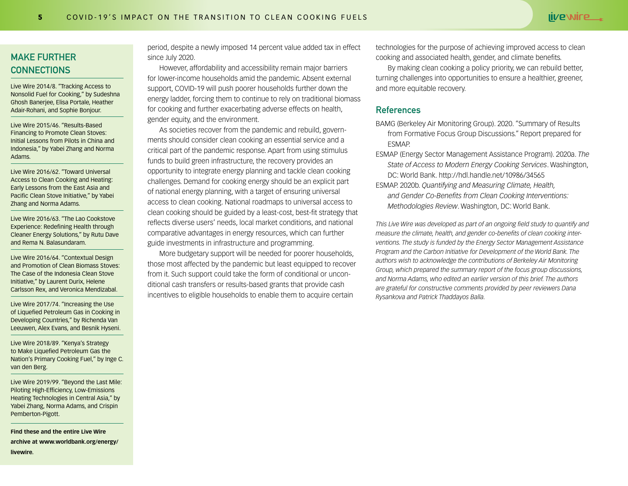#### MAKE FURTHER **CONNECTIONS**

[Live Wire 2014/8. "Tracking Access to](http://hdl.handle.net/10986/18414)  [Nonsolid Fuel for Cooking," by Sudeshna](http://hdl.handle.net/10986/18414)  [Ghosh Banerjee, Elisa Portale, Heather](http://hdl.handle.net/10986/18414)  [Adair-Rohani, and Sophie Bonjour.](http://hdl.handle.net/10986/18414) 

[Live Wire 2015/46. "Results-Based](http://hdl.handle.net/10986/22114)  [Financing to Promote Clean Stoves:](http://hdl.handle.net/10986/22114)  [Initial Lessons from Pilots in China and](http://hdl.handle.net/10986/22114)  [Indonesia," by Yabei Zhang and Norma](http://hdl.handle.net/10986/22114)  [Adams.](http://hdl.handle.net/10986/22114) 

[Live Wire 2016/62. "Toward Universal](http://hdl.handle.net/10986/24257)  [Access to Clean Cooking and Heating:](http://hdl.handle.net/10986/24257)  [Early Lessons from the East Asia and](http://hdl.handle.net/10986/24257)  [Pacific Clean Stove Initiative," by Yabei](http://hdl.handle.net/10986/24257)  [Zhang and Norma Adams.](http://hdl.handle.net/10986/24257) 

[Live Wire 2016/63. "The Lao Cookstove](http://hdl.handle.net/10986/24256)  [Experience: Redefining Health through](http://hdl.handle.net/10986/24256)  [Cleaner Energy Solutions," by Rutu Dave](http://hdl.handle.net/10986/24256)  [and Rema N. Balasundaram.](http://hdl.handle.net/10986/24256) 

[Live Wire 2016/64. "Contextual Design](http://hdl.handle.net/10986/25129)  [and Promotion of Clean Biomass Stoves:](http://hdl.handle.net/10986/25129)  [The Case of the Indonesia Clean Stove](http://hdl.handle.net/10986/25129)  [Initiative," by Laurent Durix, Helene](http://hdl.handle.net/10986/25129)  [Carlsson Rex, and Veronica Mendizabal.](http://hdl.handle.net/10986/25129)

[Live Wire 2017/74. "Increasing the Use](http://hdl.handle.net/10986/26569)  [of Liquefied Petroleum Gas in Cooking in](http://hdl.handle.net/10986/26569)  [Developing Countries," by Richenda Van](http://hdl.handle.net/10986/26569)  [Leeuwen, Alex Evans, and Besnik Hyseni.](http://hdl.handle.net/10986/26569)

[Live Wire 2018/89. "Kenya's Strategy](http://hdl.handle.net/10986/30391)  [to Make Liquefied Petroleum Gas the](http://hdl.handle.net/10986/30391)  [Nation's Primary Cooking Fuel," by Inge C.](http://hdl.handle.net/10986/30391)  [van den Berg.](http://hdl.handle.net/10986/30391) 

[Live Wire 2019/99. "Beyond the Last Mile:](http://hdl.handle.net/10986/31774 )  [Piloting High-Efficiency, Low-Emissions](http://hdl.handle.net/10986/31774 )  [Heating Technologies in Central Asia," by](http://hdl.handle.net/10986/31774 )  [Yabei Zhang, Norma Adams, and Crispin](http://hdl.handle.net/10986/31774 )  [Pemberton-Pigott.](http://hdl.handle.net/10986/31774 ) 

**Find these and the entire Live Wire archive at [www.worldbank.org/energy/](http://www.worldbank.org/energy/livewire) [livewire](http://www.worldbank.org/energy/livewire).**

period, despite a newly imposed 14 percent value added tax in effect since July 2020.

However, affordability and accessibility remain major barriers for lower-income households amid the pandemic. Absent external support, COVID-19 will push poorer households further down the energy ladder, forcing them to continue to rely on traditional biomass for cooking and further exacerbating adverse effects on health, gender equity, and the environment.

As societies recover from the pandemic and rebuild, governments should consider clean cooking an essential service and a critical part of the pandemic response. Apart from using stimulus funds to build green infrastructure, the recovery provides an opportunity to integrate energy planning and tackle clean cooking challenges. Demand for cooking energy should be an explicit part of national energy planning, with a target of ensuring universal access to clean cooking. National roadmaps to universal access to clean cooking should be guided by a least-cost, best-fit strategy that reflects diverse users' needs, local market conditions, and national comparative advantages in energy resources, which can further guide investments in infrastructure and programming.

More budgetary support will be needed for poorer households, those most affected by the pandemic but least equipped to recover from it. Such support could take the form of conditional or unconditional cash transfers or results-based grants that provide cash incentives to eligible households to enable them to acquire certain

technologies for the purpose of achieving improved access to clean cooking and associated health, gender, and climate benefits.

By making clean cooking a policy priority, we can rebuild better, turning challenges into opportunities to ensure a healthier, greener, and more equitable recovery.

#### References

- BAMG (Berkeley Air Monitoring Group). 2020. "Summary of Results from Formative Focus Group Discussions." Report prepared for ESMAP.
- ESMAP (Energy Sector Management Assistance Program). 2020a. *The State of Access to Modern Energy Cooking Services*. Washington, DC: World Bank.<http://hdl.handle.net/10986/34565>
- ESMAP. 2020b. *Quantifying and Measuring Climate, Health, and Gender Co-Benefits from Clean Cooking Interventions: Methodologies Review*. Washington, DC: World Bank.

*This Live Wire was developed as part of an ongoing field study to quantify and measure the climate, health, and gender co-benefits of clean cooking interventions. The study is funded by the Energy Sector Management Assistance Program and the Carbon Initiative for Development of the World Bank. The authors wish to acknowledge the contributions of Berkeley Air Monitoring Group, which prepared the summary report of the focus group discussions, and Norma Adams, who edited an earlier version of this brief. The authors are grateful for constructive comments provided by peer reviewers Dana Rysankova and Patrick Thaddayos Balla.*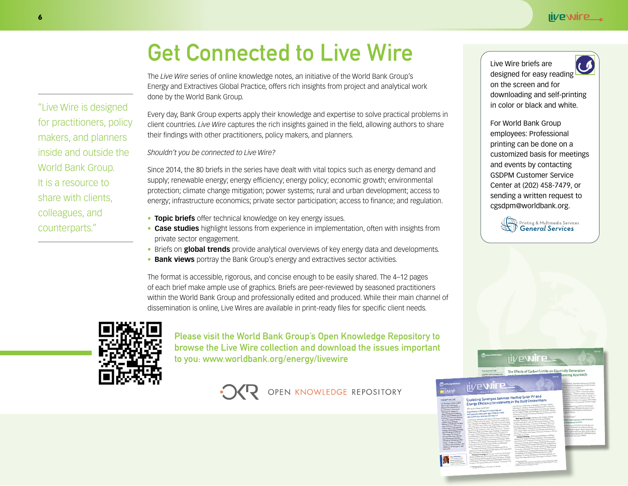## Get Connected to Live Wire

The *Live Wire* series of online knowledge notes, an initiative of the World Bank Group's Energy and Extractives Global Practice, offers rich insights from project and analytical work done by the World Bank Group.

Every day, Bank Group experts apply their knowledge and expertise to solve practical problems in client countries. *Live Wire* captures the rich insights gained in the field, allowing authors to share their findings with other practitioners, policy makers, and planners.

*Shouldn't you be connected to Live Wire?*

Since 2014, the 80 briefs in the series have dealt with vital topics such as energy demand and supply; renewable energy; energy efficiency; energy policy; economic growth; environmental protection; climate change mitigation; power systems; rural and urban development; access to energy; infrastructure economics; private sector participation; access to finance; and regulation.

- **• Topic briefs** offer technical knowledge on key energy issues.
- **• Case studies** highlight lessons from experience in implementation, often with insights from private sector engagement.
- **•** Briefs on **global trends** provide analytical overviews of key energy data and developments.
- **Bank views** portray the Bank Group's energy and extractives sector activities.

The format is accessible, rigorous, and concise enough to be easily shared. The 4–12 pages of each brief make ample use of graphics. Briefs are peer-reviewed by seasoned practitioners within the World Bank Group and professionally edited and produced. While their main channel of dissemination is online, Live Wires are available in print-ready files for specific client needs.



Please visit the World Bank Group's Open Knowledge Repository to browse the Live Wire collection and download the issues important to you: www.worldbank.org/energy/livewire



OPEN KNOWLEDGE REPOSITORY



For World Bank Group employees: Professional printing can be done on a customized basis for meetings and events by contacting GSDPM Customer Service Center at (202) 458-7479, or sending a written request to cgsdpm@worldbank.org.



**live wire** The Effects of Carbon Limits on El

iive wire

Exploiting Synergies between Rooftop Solar PV and Exploiting Synergies between Roomp<br>Energy Efficiency Investments in the B

"Live Wire is designed for practitioners, policy makers, and planners inside and outside the

World Bank Group. It is a resource to share with clients,

colleagues, and counterparts."